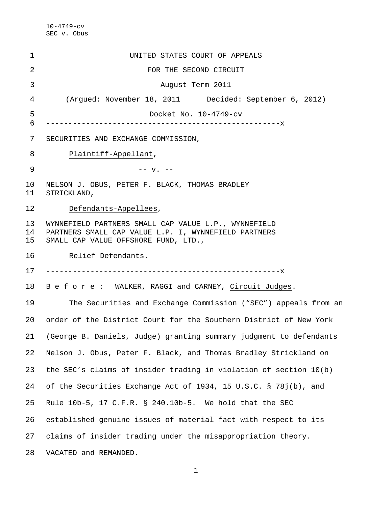| 1              | UNITED STATES COURT OF APPEALS                                                                                                                       |
|----------------|------------------------------------------------------------------------------------------------------------------------------------------------------|
| 2              | FOR THE SECOND CIRCUIT                                                                                                                               |
| 3              | August Term 2011                                                                                                                                     |
| 4              | (Argued: November 18, 2011 Decided: September 6, 2012)                                                                                               |
| 5              | Docket No. 10-4749-cv                                                                                                                                |
| 6              |                                                                                                                                                      |
| 7              | SECURITIES AND EXCHANGE COMMISSION,                                                                                                                  |
| 8              | Plaintiff-Appellant,                                                                                                                                 |
| 9              | $-- v. --$                                                                                                                                           |
| 10<br>11       | NELSON J. OBUS, PETER F. BLACK, THOMAS BRADLEY<br>STRICKLAND,                                                                                        |
| 12             | Defendants-Appellees,                                                                                                                                |
| 13<br>14<br>15 | WYNNEFIELD PARTNERS SMALL CAP VALUE L.P., WYNNEFIELD<br>PARTNERS SMALL CAP VALUE L.P. I, WYNNEFIELD PARTNERS<br>SMALL CAP VALUE OFFSHORE FUND, LTD., |
| 16             | Relief Defendants.                                                                                                                                   |
| 17             |                                                                                                                                                      |
| 18             | B e f o r e: WALKER, RAGGI and CARNEY, Circuit Judges.                                                                                               |
| 19             | The Securities and Exchange Commission ("SEC") appeals from an                                                                                       |
| 20             | order of the District Court for the Southern District of New York                                                                                    |
| 21             | (George B. Daniels, Judge) granting summary judgment to defendants                                                                                   |
| 22             | Nelson J. Obus, Peter F. Black, and Thomas Bradley Strickland on                                                                                     |
| 23             | the SEC's claims of insider trading in violation of section 10(b)                                                                                    |
| 24             | of the Securities Exchange Act of 1934, 15 U.S.C. § 78j(b), and                                                                                      |
| 25             | Rule 10b-5, 17 C.F.R. § 240.10b-5. We hold that the SEC                                                                                              |
| 26             | established genuine issues of material fact with respect to its                                                                                      |
| 27             | claims of insider trading under the misappropriation theory.                                                                                         |
| 28             | VACATED and REMANDED.                                                                                                                                |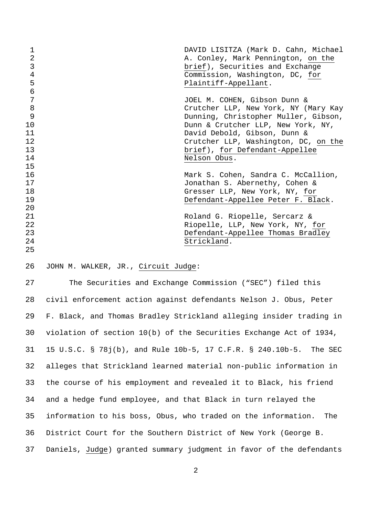| 1              | DAVID LISITZA (Mark D. Cahn, Michael |
|----------------|--------------------------------------|
| $\overline{2}$ | A. Conley, Mark Pennington, on the   |
| 3              | brief), Securities and Exchange      |
| $\overline{4}$ | Commission, Washington, DC, for      |
| 5              | Plaintiff-Appellant.                 |
| 6              |                                      |
| 7              | JOEL M. COHEN, Gibson Dunn &         |
| 8              | Crutcher LLP, New York, NY (Mary Kay |
| 9              | Dunning, Christopher Muller, Gibson, |
| 10             | Dunn & Crutcher LLP, New York, NY,   |
| 11             | David Debold, Gibson, Dunn &         |
| 12             | Crutcher LLP, Washington, DC, on the |
| 13             | brief), for Defendant-Appellee       |
| 14             | Nelson Obus.                         |
| 15             |                                      |
| 16             | Mark S. Cohen, Sandra C. McCallion,  |
| 17             | Jonathan S. Abernethy, Cohen &       |
| 18             | Gresser LLP, New York, NY, for       |
| 19             | Defendant-Appellee Peter F. Black.   |
| 20             |                                      |
| 21             | Roland G. Riopelle, Sercarz &        |
| 22             | Riopelle, LLP, New York, NY, for     |
| 23             | Defendant-Appellee Thomas Bradley    |
| 24             | Strickland.                          |
| 25             |                                      |

### 26 JOHN M. WALKER, JR., Circuit Judge:

27 The Securities and Exchange Commission ("SEC") filed this 28 civil enforcement action against defendants Nelson J. Obus, Peter 29 F. Black, and Thomas Bradley Strickland alleging insider trading in 30 violation of section 10(b) of the Securities Exchange Act of 1934, 31 15 U.S.C. § 78j(b), and Rule 10b-5, 17 C.F.R. § 240.10b-5. The SEC 32 alleges that Strickland learned material non-public information in 33 the course of his employment and revealed it to Black, his friend 34 and a hedge fund employee, and that Black in turn relayed the 35 information to his boss, Obus, who traded on the information. The 36 District Court for the Southern District of New York (George B. 37 Daniels, Judge) granted summary judgment in favor of the defendants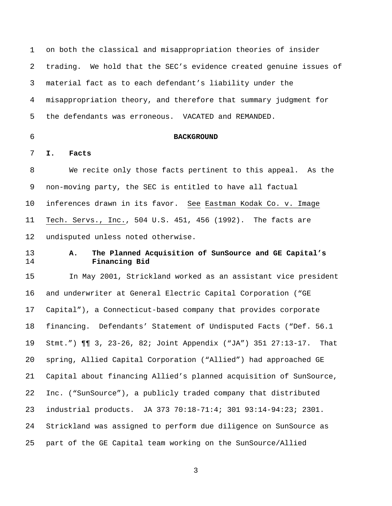1 on both the classical and misappropriation theories of insider 2 trading. We hold that the SEC's evidence created genuine issues of 3 material fact as to each defendant's liability under the 4 misappropriation theory, and therefore that summary judgment for 5 the defendants was erroneous. VACATED and REMANDED.

## 6 **BACKGROUND**

7 **I. Facts** 

8 We recite only those facts pertinent to this appeal. As the 9 non-moving party, the SEC is entitled to have all factual 10 inferences drawn in its favor. See Eastman Kodak Co. v. Image 11 Tech. Servs., Inc., 504 U.S. 451, 456 (1992). The facts are 12 undisputed unless noted otherwise.

# 13 **A. The Planned Acquisition of SunSource and GE Capital's**  14 **Financing Bid**

15 In May 2001, Strickland worked as an assistant vice president 16 and underwriter at General Electric Capital Corporation ("GE 17 Capital"), a Connecticut-based company that provides corporate 18 financing. Defendants' Statement of Undisputed Facts ("Def. 56.1 19 Stmt.") ¶¶ 3, 23-26, 82; Joint Appendix ("JA") 351 27:13-17. That 20 spring, Allied Capital Corporation ("Allied") had approached GE 21 Capital about financing Allied's planned acquisition of SunSource, 22 Inc. ("SunSource"), a publicly traded company that distributed 23 industrial products. JA 373 70:18-71:4; 301 93:14-94:23; 2301. 24 Strickland was assigned to perform due diligence on SunSource as 25 part of the GE Capital team working on the SunSource/Allied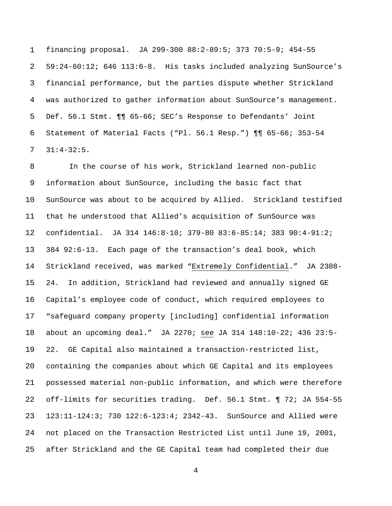1 financing proposal. JA 299-300 88:2-89:5; 373 70:5-9; 454-55 2 59:24-60:12; 646 113:6-8. His tasks included analyzing SunSource's 3 financial performance, but the parties dispute whether Strickland 4 was authorized to gather information about SunSource's management. 5 Def. 56.1 Stmt. ¶¶ 65-66; SEC's Response to Defendants' Joint 6 Statement of Material Facts ("Pl. 56.1 Resp.") ¶¶ 65-66; 353-54 7 31:4-32:5.

8 In the course of his work, Strickland learned non-public 9 information about SunSource, including the basic fact that 10 SunSource was about to be acquired by Allied. Strickland testified 11 that he understood that Allied's acquisition of SunSource was 12 confidential. JA 314 146:8-10; 379-80 83:6-85:14; 383 90:4-91:2; 13 384 92:6-13. Each page of the transaction's deal book, which 14 Strickland received, was marked "Extremely Confidential." JA 2308- 15 24. In addition, Strickland had reviewed and annually signed GE 16 Capital's employee code of conduct, which required employees to 17 "safeguard company property [including] confidential information 18 about an upcoming deal." JA 2270; see JA 314 148:10-22; 436 23:5- 19 22. GE Capital also maintained a transaction-restricted list, 20 containing the companies about which GE Capital and its employees 21 possessed material non-public information, and which were therefore 22 off-limits for securities trading. Def. 56.1 Stmt. ¶ 72; JA 554-55 23 123:11-124:3; 730 122:6-123:4; 2342-43. SunSource and Allied were 24 not placed on the Transaction Restricted List until June 19, 2001, 25 after Strickland and the GE Capital team had completed their due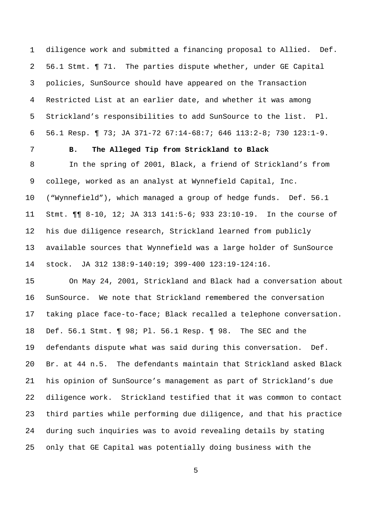1 diligence work and submitted a financing proposal to Allied. Def. 2 56.1 Stmt. ¶ 71. The parties dispute whether, under GE Capital 3 policies, SunSource should have appeared on the Transaction 4 Restricted List at an earlier date, and whether it was among 5 Strickland's responsibilities to add SunSource to the list. Pl. 6 56.1 Resp. ¶ 73; JA 371-72 67:14-68:7; 646 113:2-8; 730 123:1-9.

### 7 **B. The Alleged Tip from Strickland to Black**

8 In the spring of 2001, Black, a friend of Strickland's from 9 college, worked as an analyst at Wynnefield Capital, Inc. 10 ("Wynnefield"), which managed a group of hedge funds. Def. 56.1 11 Stmt. ¶¶ 8-10, 12; JA 313 141:5-6; 933 23:10-19. In the course of 12 his due diligence research, Strickland learned from publicly 13 available sources that Wynnefield was a large holder of SunSource 14 stock. JA 312 138:9-140:19; 399-400 123:19-124:16.

15 On May 24, 2001, Strickland and Black had a conversation about 16 SunSource. We note that Strickland remembered the conversation 17 taking place face-to-face; Black recalled a telephone conversation. 18 Def. 56.1 Stmt. ¶ 98; Pl. 56.1 Resp. ¶ 98. The SEC and the 19 defendants dispute what was said during this conversation. Def. 20 Br. at 44 n.5. The defendants maintain that Strickland asked Black 21 his opinion of SunSource's management as part of Strickland's due 22 diligence work. Strickland testified that it was common to contact 23 third parties while performing due diligence, and that his practice 24 during such inquiries was to avoid revealing details by stating 25 only that GE Capital was potentially doing business with the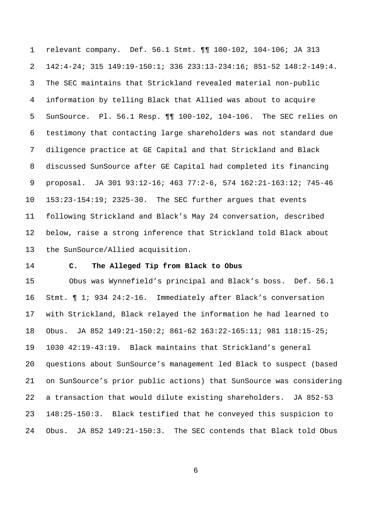1 relevant company. Def. 56.1 Stmt. ¶¶ 100-102, 104-106; JA 313 2 142:4-24; 315 149:19-150:1; 336 233:13-234:16; 851-52 148:2-149:4. 3 The SEC maintains that Strickland revealed material non-public 4 information by telling Black that Allied was about to acquire 5 SunSource. Pl. 56.1 Resp. ¶¶ 100-102, 104-106. The SEC relies on 6 testimony that contacting large shareholders was not standard due 7 diligence practice at GE Capital and that Strickland and Black 8 discussed SunSource after GE Capital had completed its financing 9 proposal. JA 301 93:12-16; 463 77:2-6, 574 162:21-163:12; 745-46 10 153:23-154:19; 2325-30. The SEC further argues that events 11 following Strickland and Black's May 24 conversation, described 12 below, raise a strong inference that Strickland told Black about 13 the SunSource/Allied acquisition.

### 14 **C. The Alleged Tip from Black to Obus**

15 Obus was Wynnefield's principal and Black's boss. Def. 56.1 16 Stmt. ¶ 1; 934 24:2-16. Immediately after Black's conversation 17 with Strickland, Black relayed the information he had learned to 18 Obus. JA 852 149:21-150:2; 861-62 163:22-165:11; 981 118:15-25; 19 1030 42:19-43:19. Black maintains that Strickland's general 20 questions about SunSource's management led Black to suspect (based 21 on SunSource's prior public actions) that SunSource was considering 22 a transaction that would dilute existing shareholders. JA 852-53 23 148:25-150:3. Black testified that he conveyed this suspicion to 24 Obus. JA 852 149:21-150:3. The SEC contends that Black told Obus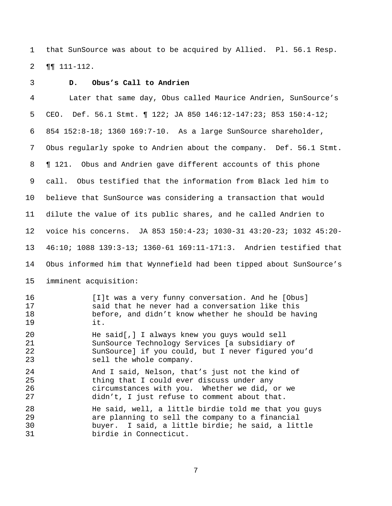1 that SunSource was about to be acquired by Allied. Pl. 56.1 Resp. 2 ¶¶ 111-112.

#### 3 **D. Obus's Call to Andrien**

4 Later that same day, Obus called Maurice Andrien, SunSource's 5 CEO. Def. 56.1 Stmt. ¶ 122; JA 850 146:12-147:23; 853 150:4-12; 6 854 152:8-18; 1360 169:7-10. As a large SunSource shareholder, 7 Obus regularly spoke to Andrien about the company. Def. 56.1 Stmt. 8 **[121.** Obus and Andrien gave different accounts of this phone 9 call. Obus testified that the information from Black led him to 10 believe that SunSource was considering a transaction that would 11 dilute the value of its public shares, and he called Andrien to 12 voice his concerns. JA 853 150:4-23; 1030-31 43:20-23; 1032 45:20- 13 46:10; 1088 139:3-13; 1360-61 169:11-171:3. Andrien testified that 14 Obus informed him that Wynnefield had been tipped about SunSource's 15 imminent acquisition: 16 [I]t was a very funny conversation. And he [Obus] 17 said that he never had a conversation like this 18 before, and didn't know whether he should be having 19 it. 20 He said[,] I always knew you guys would sell 21 SunSource Technology Services [a subsidiary of 22 SunSource] if you could, but I never figured you'd 23 sell the whole company. 24 And I said, Nelson, that's just not the kind of 25 thing that I could ever discuss under any 26 circumstances with you. Whether we did, or we 27 didn't, I just refuse to comment about that. 28 He said, well, a little birdie told me that you guys 29 are planning to sell the company to a financial 30 buyer. I said, a little birdie; he said, a little 31 birdie in Connecticut.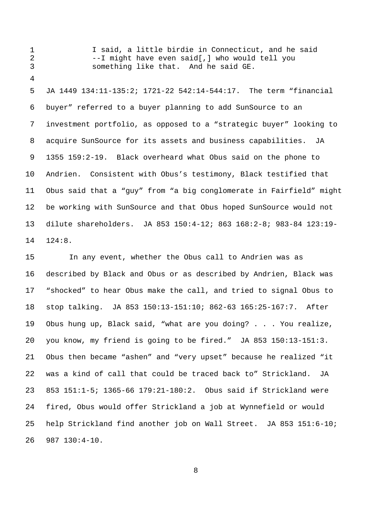3 something like that. And he said GE. 4 5 JA 1449 134:11-135:2; 1721-22 542:14-544:17. The term "financial 6 buyer" referred to a buyer planning to add SunSource to an 7 investment portfolio, as opposed to a "strategic buyer" looking to 8 acquire SunSource for its assets and business capabilities. JA 9 1355 159:2-19. Black overheard what Obus said on the phone to 10 Andrien. Consistent with Obus's testimony, Black testified that 11 Obus said that a "guy" from "a big conglomerate in Fairfield" might 12 be working with SunSource and that Obus hoped SunSource would not 13 dilute shareholders. JA 853 150:4-12; 863 168:2-8; 983-84 123:19- 14 124:8.

1 I said, a little birdie in Connecticut, and he said

2 --I might have even said[,] who would tell you

15 In any event, whether the Obus call to Andrien was as 16 described by Black and Obus or as described by Andrien, Black was 17 "shocked" to hear Obus make the call, and tried to signal Obus to 18 stop talking. JA 853 150:13-151:10; 862-63 165:25-167:7. After 19 Obus hung up, Black said, "what are you doing? . . . You realize, 20 you know, my friend is going to be fired." JA 853 150:13-151:3. 21 Obus then became "ashen" and "very upset" because he realized "it 22 was a kind of call that could be traced back to" Strickland. JA 23 853 151:1-5; 1365-66 179:21-180:2. Obus said if Strickland were 24 fired, Obus would offer Strickland a job at Wynnefield or would 25 help Strickland find another job on Wall Street. JA 853 151:6-10; 26 987 130:4-10.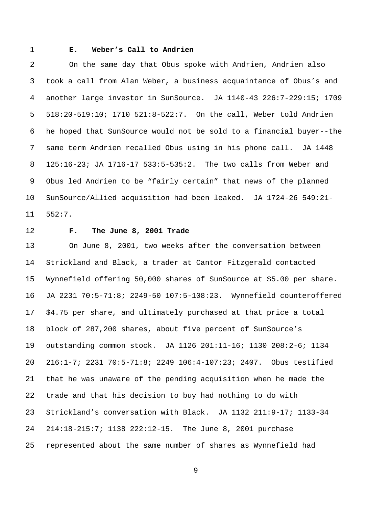## 1 **E. Weber's Call to Andrien**

2 On the same day that Obus spoke with Andrien, Andrien also 3 took a call from Alan Weber, a business acquaintance of Obus's and 4 another large investor in SunSource. JA 1140-43 226:7-229:15; 1709 5 518:20-519:10; 1710 521:8-522:7. On the call, Weber told Andrien 6 he hoped that SunSource would not be sold to a financial buyer--the 7 same term Andrien recalled Obus using in his phone call. JA 1448 8 125:16-23; JA 1716-17 533:5-535:2. The two calls from Weber and 9 Obus led Andrien to be "fairly certain" that news of the planned 10 SunSource/Allied acquisition had been leaked. JA 1724-26 549:21- 11 552:7.

#### 12 **F. The June 8, 2001 Trade**

13 On June 8, 2001, two weeks after the conversation between 14 Strickland and Black, a trader at Cantor Fitzgerald contacted 15 Wynnefield offering 50,000 shares of SunSource at \$5.00 per share. 16 JA 2231 70:5-71:8; 2249-50 107:5-108:23. Wynnefield counteroffered 17 \$4.75 per share, and ultimately purchased at that price a total 18 block of 287,200 shares, about five percent of SunSource's 19 outstanding common stock. JA 1126 201:11-16; 1130 208:2-6; 1134 20 216:1-7; 2231 70:5-71:8; 2249 106:4-107:23; 2407. Obus testified 21 that he was unaware of the pending acquisition when he made the 22 trade and that his decision to buy had nothing to do with 23 Strickland's conversation with Black. JA 1132 211:9-17; 1133-34 24 214:18-215:7; 1138 222:12-15. The June 8, 2001 purchase 25 represented about the same number of shares as Wynnefield had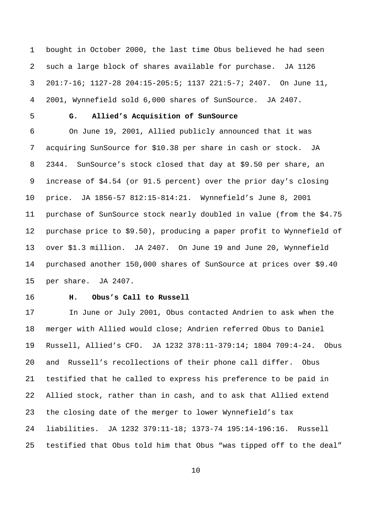1 bought in October 2000, the last time Obus believed he had seen 2 such a large block of shares available for purchase. JA 1126 3 201:7-16; 1127-28 204:15-205:5; 1137 221:5-7; 2407. On June 11, 4 2001, Wynnefield sold 6,000 shares of SunSource. JA 2407.

# 5 **G. Allied's Acquisition of SunSource**

6 On June 19, 2001, Allied publicly announced that it was 7 acquiring SunSource for \$10.38 per share in cash or stock. JA 8 2344. SunSource's stock closed that day at \$9.50 per share, an 9 increase of \$4.54 (or 91.5 percent) over the prior day's closing 10 price. JA 1856-57 812:15-814:21. Wynnefield's June 8, 2001 11 purchase of SunSource stock nearly doubled in value (from the \$4.75 12 purchase price to \$9.50), producing a paper profit to Wynnefield of 13 over \$1.3 million. JA 2407. On June 19 and June 20, Wynnefield 14 purchased another 150,000 shares of SunSource at prices over \$9.40 15 per share. JA 2407.

#### 16 **H. Obus's Call to Russell**

17 In June or July 2001, Obus contacted Andrien to ask when the 18 merger with Allied would close; Andrien referred Obus to Daniel 19 Russell, Allied's CFO. JA 1232 378:11-379:14; 1804 709:4-24. Obus 20 and Russell's recollections of their phone call differ. Obus 21 testified that he called to express his preference to be paid in 22 Allied stock, rather than in cash, and to ask that Allied extend 23 the closing date of the merger to lower Wynnefield's tax 24 liabilities. JA 1232 379:11-18; 1373-74 195:14-196:16. Russell 25 testified that Obus told him that Obus "was tipped off to the deal"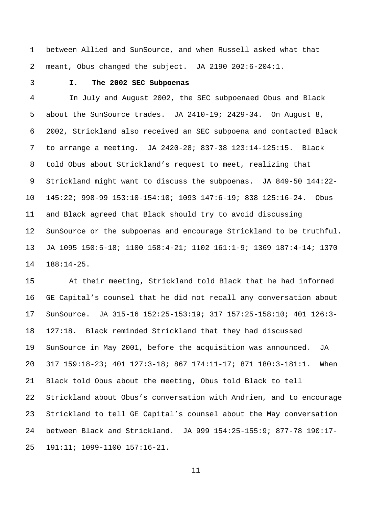1 between Allied and SunSource, and when Russell asked what that 2 meant, Obus changed the subject. JA 2190 202:6-204:1.

## 3 **I. The 2002 SEC Subpoenas**

4 In July and August 2002, the SEC subpoenaed Obus and Black 5 about the SunSource trades. JA 2410-19; 2429-34. On August 8, 6 2002, Strickland also received an SEC subpoena and contacted Black 7 to arrange a meeting. JA 2420-28; 837-38 123:14-125:15. Black 8 told Obus about Strickland's request to meet, realizing that 9 Strickland might want to discuss the subpoenas. JA 849-50 144:22- 10 145:22; 998-99 153:10-154:10; 1093 147:6-19; 838 125:16-24. Obus 11 and Black agreed that Black should try to avoid discussing 12 SunSource or the subpoenas and encourage Strickland to be truthful. 13 JA 1095 150:5-18; 1100 158:4-21; 1102 161:1-9; 1369 187:4-14; 1370 14 188:14-25.

15 At their meeting, Strickland told Black that he had informed 16 GE Capital's counsel that he did not recall any conversation about 17 SunSource. JA 315-16 152:25-153:19; 317 157:25-158:10; 401 126:3- 18 127:18. Black reminded Strickland that they had discussed 19 SunSource in May 2001, before the acquisition was announced. JA 20 317 159:18-23; 401 127:3-18; 867 174:11-17; 871 180:3-181:1. When 21 Black told Obus about the meeting, Obus told Black to tell 22 Strickland about Obus's conversation with Andrien, and to encourage 23 Strickland to tell GE Capital's counsel about the May conversation 24 between Black and Strickland. JA 999 154:25-155:9; 877-78 190:17- 25 191:11; 1099-1100 157:16-21.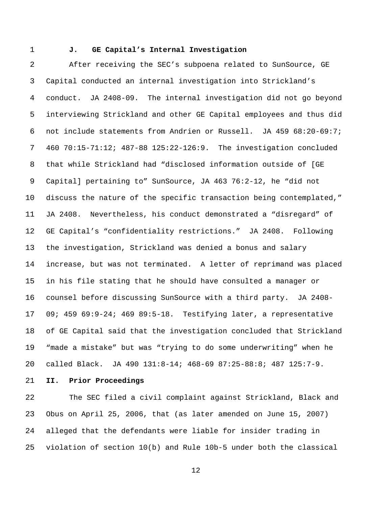#### 1 **J. GE Capital's Internal Investigation**

2 After receiving the SEC's subpoena related to SunSource, GE 3 Capital conducted an internal investigation into Strickland's 4 conduct. JA 2408-09. The internal investigation did not go beyond 5 interviewing Strickland and other GE Capital employees and thus did 6 not include statements from Andrien or Russell. JA 459 68:20-69:7; 7 460 70:15-71:12; 487-88 125:22-126:9. The investigation concluded 8 that while Strickland had "disclosed information outside of [GE 9 Capital] pertaining to" SunSource, JA 463 76:2-12, he "did not 10 discuss the nature of the specific transaction being contemplated," 11 JA 2408. Nevertheless, his conduct demonstrated a "disregard" of 12 GE Capital's "confidentiality restrictions." JA 2408. Following 13 the investigation, Strickland was denied a bonus and salary 14 increase, but was not terminated. A letter of reprimand was placed 15 in his file stating that he should have consulted a manager or 16 counsel before discussing SunSource with a third party. JA 2408- 17 09; 459 69:9-24; 469 89:5-18. Testifying later, a representative 18 of GE Capital said that the investigation concluded that Strickland 19 "made a mistake" but was "trying to do some underwriting" when he 20 called Black. JA 490 131:8-14; 468-69 87:25-88:8; 487 125:7-9.

21 **II. Prior Proceedings** 

22 The SEC filed a civil complaint against Strickland, Black and 23 Obus on April 25, 2006, that (as later amended on June 15, 2007) 24 alleged that the defendants were liable for insider trading in 25 violation of section 10(b) and Rule 10b-5 under both the classical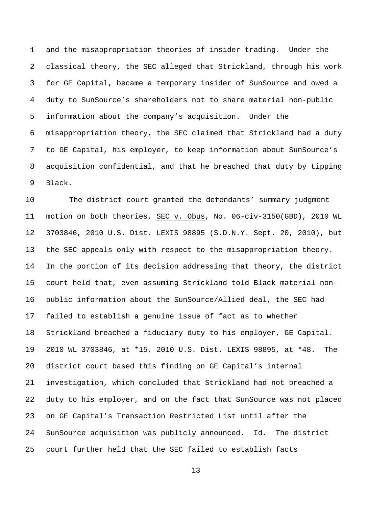1 and the misappropriation theories of insider trading. Under the 2 classical theory, the SEC alleged that Strickland, through his work 3 for GE Capital, became a temporary insider of SunSource and owed a 4 duty to SunSource's shareholders not to share material non-public 5 information about the company's acquisition. Under the 6 misappropriation theory, the SEC claimed that Strickland had a duty 7 to GE Capital, his employer, to keep information about SunSource's 8 acquisition confidential, and that he breached that duty by tipping 9 Black.

10 The district court granted the defendants' summary judgment 11 motion on both theories, SEC v. Obus, No. 06-civ-3150(GBD), 2010 WL 12 3703846, 2010 U.S. Dist. LEXIS 98895 (S.D.N.Y. Sept. 20, 2010), but 13 the SEC appeals only with respect to the misappropriation theory. 14 In the portion of its decision addressing that theory, the district 15 court held that, even assuming Strickland told Black material non-16 public information about the SunSource/Allied deal, the SEC had 17 failed to establish a genuine issue of fact as to whether 18 Strickland breached a fiduciary duty to his employer, GE Capital. 19 2010 WL 3703846, at \*15, 2010 U.S. Dist. LEXIS 98895, at \*48. The 20 district court based this finding on GE Capital's internal 21 investigation, which concluded that Strickland had not breached a 22 duty to his employer, and on the fact that SunSource was not placed 23 on GE Capital's Transaction Restricted List until after the 24 SunSource acquisition was publicly announced. Id. The district 25 court further held that the SEC failed to establish facts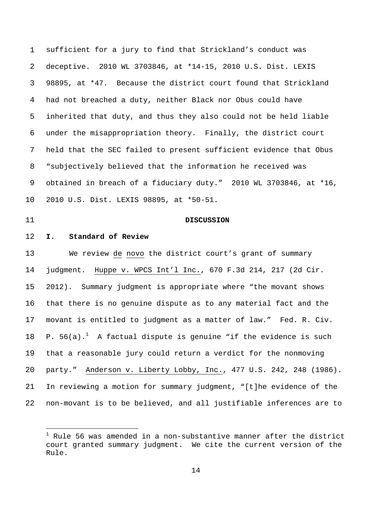1 sufficient for a jury to find that Strickland's conduct was 2 deceptive. 2010 WL 3703846, at \*14-15, 2010 U.S. Dist. LEXIS 3 98895, at \*47. Because the district court found that Strickland 4 had not breached a duty, neither Black nor Obus could have 5 inherited that duty, and thus they also could not be held liable 6 under the misappropriation theory. Finally, the district court 7 held that the SEC failed to present sufficient evidence that Obus 8 "subjectively believed that the information he received was 9 obtained in breach of a fiduciary duty." 2010 WL 3703846, at \*16, 10 2010 U.S. Dist. LEXIS 98895, at \*50-51.

÷

#### 11 **DISCUSSION**

## 12 **I. Standard of Review**

13 We review de novo the district court's grant of summary 14 judgment. Huppe v. WPCS Int'l Inc., 670 F.3d 214, 217 (2d Cir. 15 2012). Summary judgment is appropriate where "the movant shows 16 that there is no genuine dispute as to any material fact and the 17 movant is entitled to judgment as a matter of law." Fed. R. Civ. 18 P. 56(a).<sup>1</sup> A factual dispute is genuine "if the evidence is such 19 that a reasonable jury could return a verdict for the nonmoving 20 party." Anderson v. Liberty Lobby, Inc., 477 U.S. 242, 248 (1986). 21 In reviewing a motion for summary judgment, "[t]he evidence of the 22 non-movant is to be believed, and all justifiable inferences are to

 $^{\rm 1}$  Rule 56 was amended in a non-substantive manner after the district court granted summary judgment. We cite the current version of the Rule.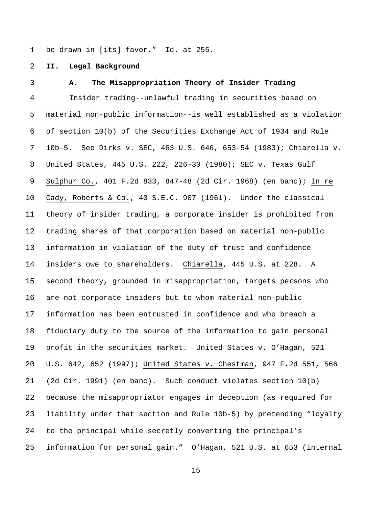1 be drawn in [its] favor." Id. at 255.

2 **II. Legal Background** 

#### 3 **A. The Misappropriation Theory of Insider Trading**

4 Insider trading--unlawful trading in securities based on 5 material non-public information--is well established as a violation 6 of section 10(b) of the Securities Exchange Act of 1934 and Rule 7 10b-5. See Dirks v. SEC, 463 U.S. 646, 653-54 (1983); Chiarella v. 8 United States, 445 U.S. 222, 226-30 (1980); SEC v. Texas Gulf 9 Sulphur Co., 401 F.2d 833, 847-48 (2d Cir. 1968) (en banc); In re 10 Cady, Roberts & Co., 40 S.E.C. 907 (1961). Under the classical 11 theory of insider trading, a corporate insider is prohibited from 12 trading shares of that corporation based on material non-public 13 information in violation of the duty of trust and confidence 14 insiders owe to shareholders. Chiarella, 445 U.S. at 228. A 15 second theory, grounded in misappropriation, targets persons who 16 are not corporate insiders but to whom material non-public 17 information has been entrusted in confidence and who breach a 18 fiduciary duty to the source of the information to gain personal 19 profit in the securities market. United States v. O'Hagan, 521 20 U.S. 642, 652 (1997); United States v. Chestman, 947 F.2d 551, 566 21 (2d Cir. 1991) (en banc). Such conduct violates section 10(b) 22 because the misappropriator engages in deception (as required for 23 liability under that section and Rule 10b-5) by pretending "loyalty 24 to the principal while secretly converting the principal's 25 information for personal gain." O'Hagan, 521 U.S. at 653 (internal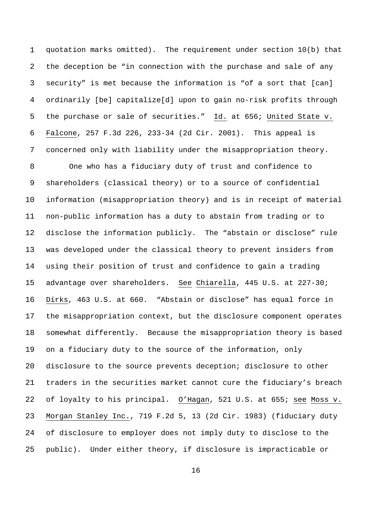1 quotation marks omitted). The requirement under section 10(b) that 2 the deception be "in connection with the purchase and sale of any 3 security" is met because the information is "of a sort that [can] 4 ordinarily [be] capitalize[d] upon to gain no-risk profits through 5 the purchase or sale of securities." Id. at 656; United State v. 6 Falcone, 257 F.3d 226, 233-34 (2d Cir. 2001). This appeal is 7 concerned only with liability under the misappropriation theory.

8 One who has a fiduciary duty of trust and confidence to 9 shareholders (classical theory) or to a source of confidential 10 information (misappropriation theory) and is in receipt of material 11 non-public information has a duty to abstain from trading or to 12 disclose the information publicly. The "abstain or disclose" rule 13 was developed under the classical theory to prevent insiders from 14 using their position of trust and confidence to gain a trading 15 advantage over shareholders. See Chiarella, 445 U.S. at 227-30; 16 Dirks, 463 U.S. at 660. "Abstain or disclose" has equal force in 17 the misappropriation context, but the disclosure component operates 18 somewhat differently. Because the misappropriation theory is based 19 on a fiduciary duty to the source of the information, only 20 disclosure to the source prevents deception; disclosure to other 21 traders in the securities market cannot cure the fiduciary's breach 22 of loyalty to his principal. O'Hagan, 521 U.S. at 655; see Moss v. 23 Morgan Stanley Inc., 719 F.2d 5, 13 (2d Cir. 1983) (fiduciary duty 24 of disclosure to employer does not imply duty to disclose to the 25 public). Under either theory, if disclosure is impracticable or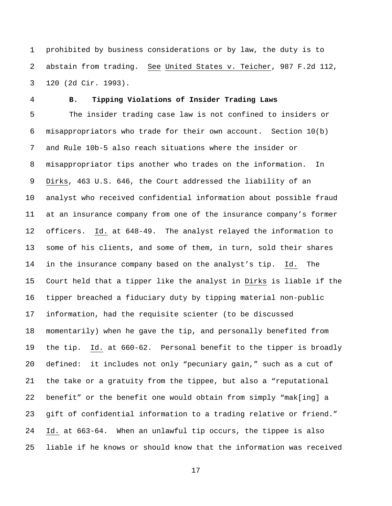1 prohibited by business considerations or by law, the duty is to 2 abstain from trading. See United States v. Teicher, 987 F.2d 112, 3 120 (2d Cir. 1993).

#### 4 **B. Tipping Violations of Insider Trading Laws**

5 The insider trading case law is not confined to insiders or 6 misappropriators who trade for their own account. Section 10(b) 7 and Rule 10b-5 also reach situations where the insider or 8 misappropriator tips another who trades on the information. In 9 Dirks, 463 U.S. 646, the Court addressed the liability of an 10 analyst who received confidential information about possible fraud 11 at an insurance company from one of the insurance company's former 12 officers. Id. at 648-49. The analyst relayed the information to 13 some of his clients, and some of them, in turn, sold their shares 14 in the insurance company based on the analyst's tip. Id. The 15 Court held that a tipper like the analyst in Dirks is liable if the 16 tipper breached a fiduciary duty by tipping material non-public 17 information, had the requisite scienter (to be discussed 18 momentarily) when he gave the tip, and personally benefited from 19 the tip. Id. at 660-62. Personal benefit to the tipper is broadly 20 defined: it includes not only "pecuniary gain," such as a cut of 21 the take or a gratuity from the tippee, but also a "reputational 22 benefit" or the benefit one would obtain from simply "mak[ing] a 23 gift of confidential information to a trading relative or friend." 24 Id. at 663-64. When an unlawful tip occurs, the tippee is also 25 liable if he knows or should know that the information was received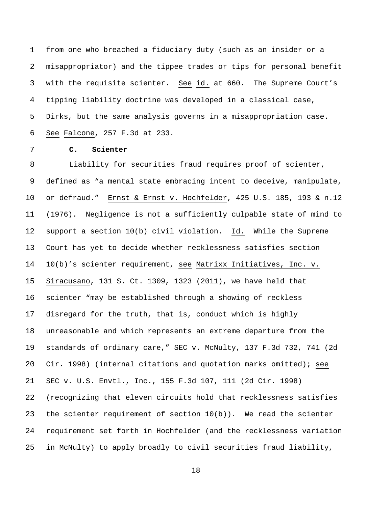1 from one who breached a fiduciary duty (such as an insider or a 2 misappropriator) and the tippee trades or tips for personal benefit 3 with the requisite scienter. See id. at 660. The Supreme Court's 4 tipping liability doctrine was developed in a classical case, 5 Dirks, but the same analysis governs in a misappropriation case. 6 See Falcone, 257 F.3d at 233.

# 7 **C. Scienter**

8 Liability for securities fraud requires proof of scienter, 9 defined as "a mental state embracing intent to deceive, manipulate, 10 or defraud." Ernst & Ernst v. Hochfelder, 425 U.S. 185, 193 & n.12 11 (1976). Negligence is not a sufficiently culpable state of mind to 12 support a section 10(b) civil violation. Id. While the Supreme 13 Court has yet to decide whether recklessness satisfies section 14 10(b)'s scienter requirement, see Matrixx Initiatives, Inc. v. 15 Siracusano, 131 S. Ct. 1309, 1323 (2011), we have held that 16 scienter "may be established through a showing of reckless 17 disregard for the truth, that is, conduct which is highly 18 unreasonable and which represents an extreme departure from the 19 standards of ordinary care," SEC v. McNulty, 137 F.3d 732, 741 (2d 20 Cir. 1998) (internal citations and quotation marks omitted); see 21 SEC v. U.S. Envtl., Inc., 155 F.3d 107, 111 (2d Cir. 1998) 22 (recognizing that eleven circuits hold that recklessness satisfies 23 the scienter requirement of section 10(b)). We read the scienter 24 requirement set forth in Hochfelder (and the recklessness variation 25 in McNulty) to apply broadly to civil securities fraud liability,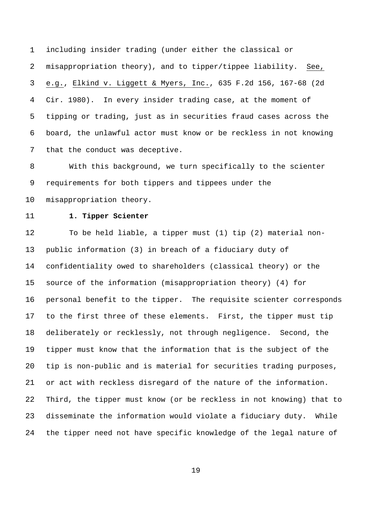1 including insider trading (under either the classical or 2 misappropriation theory), and to tipper/tippee liability. See, 3 e.g., Elkind v. Liggett & Myers, Inc., 635 F.2d 156, 167-68 (2d 4 Cir. 1980). In every insider trading case, at the moment of 5 tipping or trading, just as in securities fraud cases across the 6 board, the unlawful actor must know or be reckless in not knowing 7 that the conduct was deceptive.

8 With this background, we turn specifically to the scienter 9 requirements for both tippers and tippees under the 10 misappropriation theory.

### 11 **1. Tipper Scienter**

12 To be held liable, a tipper must (1) tip (2) material non-13 public information (3) in breach of a fiduciary duty of 14 confidentiality owed to shareholders (classical theory) or the 15 source of the information (misappropriation theory) (4) for 16 personal benefit to the tipper. The requisite scienter corresponds 17 to the first three of these elements. First, the tipper must tip 18 deliberately or recklessly, not through negligence. Second, the 19 tipper must know that the information that is the subject of the 20 tip is non-public and is material for securities trading purposes, 21 or act with reckless disregard of the nature of the information. 22 Third, the tipper must know (or be reckless in not knowing) that to 23 disseminate the information would violate a fiduciary duty. While 24 the tipper need not have specific knowledge of the legal nature of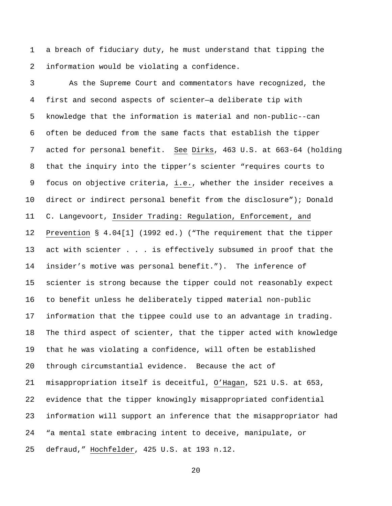1 a breach of fiduciary duty, he must understand that tipping the 2 information would be violating a confidence.

3 As the Supreme Court and commentators have recognized, the 4 first and second aspects of scienter—a deliberate tip with 5 knowledge that the information is material and non-public--can 6 often be deduced from the same facts that establish the tipper 7 acted for personal benefit. See Dirks, 463 U.S. at 663-64 (holding 8 that the inquiry into the tipper's scienter "requires courts to 9 focus on objective criteria, i.e., whether the insider receives a 10 direct or indirect personal benefit from the disclosure"); Donald 11 C. Langevoort, Insider Trading: Regulation, Enforcement, and 12 Prevention § 4.04[1] (1992 ed.) ("The requirement that the tipper 13 act with scienter . . . is effectively subsumed in proof that the 14 insider's motive was personal benefit."). The inference of 15 scienter is strong because the tipper could not reasonably expect 16 to benefit unless he deliberately tipped material non-public 17 information that the tippee could use to an advantage in trading. 18 The third aspect of scienter, that the tipper acted with knowledge 19 that he was violating a confidence, will often be established 20 through circumstantial evidence. Because the act of 21 misappropriation itself is deceitful, O'Hagan, 521 U.S. at 653, 22 evidence that the tipper knowingly misappropriated confidential 23 information will support an inference that the misappropriator had 24 "a mental state embracing intent to deceive, manipulate, or 25 defraud," Hochfelder, 425 U.S. at 193 n.12.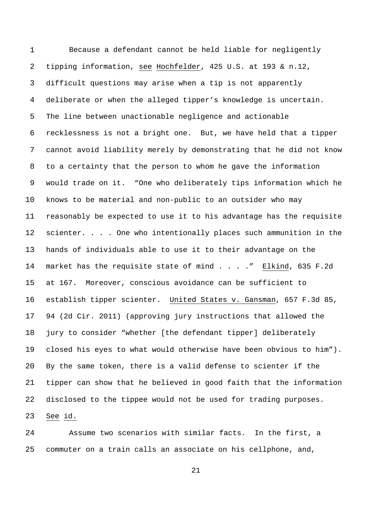1 Because a defendant cannot be held liable for negligently 2 tipping information, see Hochfelder, 425 U.S. at 193 & n.12, 3 difficult questions may arise when a tip is not apparently 4 deliberate or when the alleged tipper's knowledge is uncertain. 5 The line between unactionable negligence and actionable 6 recklessness is not a bright one. But, we have held that a tipper 7 cannot avoid liability merely by demonstrating that he did not know 8 to a certainty that the person to whom he gave the information 9 would trade on it. "One who deliberately tips information which he 10 knows to be material and non-public to an outsider who may 11 reasonably be expected to use it to his advantage has the requisite 12 scienter. . . . One who intentionally places such ammunition in the 13 hands of individuals able to use it to their advantage on the 14 market has the requisite state of mind . . . ." Elkind, 635 F.2d 15 at 167. Moreover, conscious avoidance can be sufficient to 16 establish tipper scienter. United States v. Gansman, 657 F.3d 85, 17 94 (2d Cir. 2011) (approving jury instructions that allowed the 18 jury to consider "whether [the defendant tipper] deliberately 19 closed his eyes to what would otherwise have been obvious to him"). 20 By the same token, there is a valid defense to scienter if the 21 tipper can show that he believed in good faith that the information 22 disclosed to the tippee would not be used for trading purposes. 23 See id.

24 Assume two scenarios with similar facts. In the first, a 25 commuter on a train calls an associate on his cellphone, and,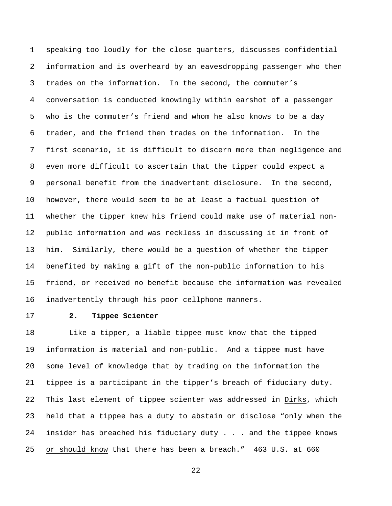1 speaking too loudly for the close quarters, discusses confidential 2 information and is overheard by an eavesdropping passenger who then 3 trades on the information. In the second, the commuter's 4 conversation is conducted knowingly within earshot of a passenger 5 who is the commuter's friend and whom he also knows to be a day 6 trader, and the friend then trades on the information. In the 7 first scenario, it is difficult to discern more than negligence and 8 even more difficult to ascertain that the tipper could expect a 9 personal benefit from the inadvertent disclosure. In the second, 10 however, there would seem to be at least a factual question of 11 whether the tipper knew his friend could make use of material non-12 public information and was reckless in discussing it in front of 13 him. Similarly, there would be a question of whether the tipper 14 benefited by making a gift of the non-public information to his 15 friend, or received no benefit because the information was revealed 16 inadvertently through his poor cellphone manners.

## 17 **2. Tippee Scienter**

18 Like a tipper, a liable tippee must know that the tipped 19 information is material and non-public. And a tippee must have 20 some level of knowledge that by trading on the information the 21 tippee is a participant in the tipper's breach of fiduciary duty. 22 This last element of tippee scienter was addressed in Dirks, which 23 held that a tippee has a duty to abstain or disclose "only when the 24 insider has breached his fiduciary duty . . . and the tippee knows 25 or should know that there has been a breach." 463 U.S. at 660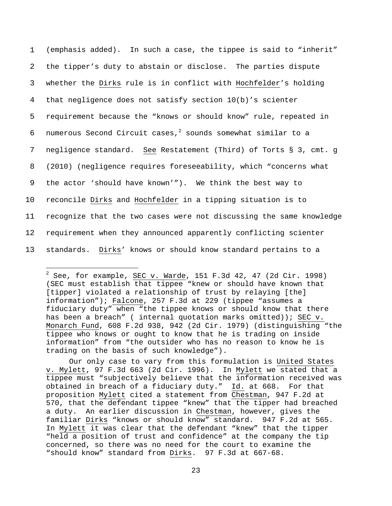1 (emphasis added). In such a case, the tippee is said to "inherit" 2 the tipper's duty to abstain or disclose. The parties dispute 3 whether the Dirks rule is in conflict with Hochfelder's holding 4 that negligence does not satisfy section 10(b)'s scienter 5 requirement because the "knows or should know" rule, repeated in 6 numerous Second Circuit cases,  $2$  sounds somewhat similar to a 7 negligence standard. See Restatement (Third) of Torts § 3, cmt. g 8 (2010) (negligence requires foreseeability, which "concerns what 9 the actor 'should have known'"). We think the best way to 10 reconcile Dirks and Hochfelder in a tipping situation is to 11 recognize that the two cases were not discussing the same knowledge 12 requirement when they announced apparently conflicting scienter 13 standards. Dirks' knows or should know standard pertains to a

i<br>I

Our only case to vary from this formulation is United States v. Mylett, 97 F.3d 663 (2d Cir. 1996). In Mylett we stated that a tippee must "subjectively believe that the information received was obtained in breach of a fiduciary duty." Id. at 668. For that proposition Mylett cited a statement from Chestman, 947 F.2d at 570, that the defendant tippee "knew" that the tipper had breached a duty. An earlier discussion in Chestman, however, gives the familiar Dirks "knows or should know" standard. 947 F.2d at 565. In Mylett it was clear that the defendant "knew" that the tipper "held a position of trust and confidence" at the company the tip concerned, so there was no need for the court to examine the "should know" standard from Dirks. 97 F.3d at 667-68.

 $^2$  See, for example, <u>SEC v. Warde</u>, 151 F.3d 42, 47 (2d Cir. 1998) (SEC must establish that tippee "knew or should have known that [tipper] violated a relationship of trust by relaying [the] information"); Falcone, 257 F.3d at 229 (tippee "assumes a fiduciary duty" when "the tippee knows or should know that there has been a breach" ( internal quotation marks omitted)); SEC v. Monarch Fund, 608 F.2d 938, 942 (2d Cir. 1979) (distinguishing "the tippee who knows or ought to know that he is trading on inside information" from "the outsider who has no reason to know he is trading on the basis of such knowledge").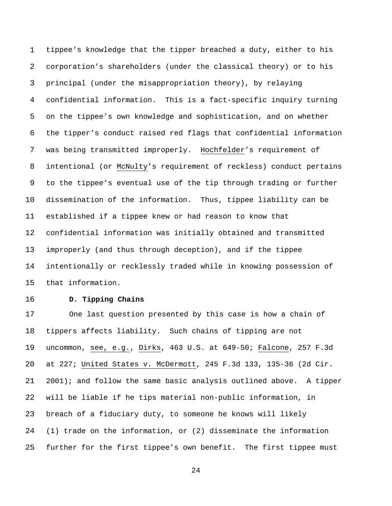1 tippee's knowledge that the tipper breached a duty, either to his 2 corporation's shareholders (under the classical theory) or to his 3 principal (under the misappropriation theory), by relaying 4 confidential information. This is a fact-specific inquiry turning 5 on the tippee's own knowledge and sophistication, and on whether 6 the tipper's conduct raised red flags that confidential information 7 was being transmitted improperly. Hochfelder's requirement of 8 intentional (or McNulty's requirement of reckless) conduct pertains 9 to the tippee's eventual use of the tip through trading or further 10 dissemination of the information. Thus, tippee liability can be 11 established if a tippee knew or had reason to know that 12 confidential information was initially obtained and transmitted 13 improperly (and thus through deception), and if the tippee 14 intentionally or recklessly traded while in knowing possession of 15 that information.

# 16 **D. Tipping Chains**

17 One last question presented by this case is how a chain of 18 tippers affects liability. Such chains of tipping are not 19 uncommon, see, e.g., Dirks, 463 U.S. at 649-50; Falcone, 257 F.3d 20 at 227; United States v. McDermott, 245 F.3d 133, 135-36 (2d Cir. 21 2001); and follow the same basic analysis outlined above. A tipper 22 will be liable if he tips material non-public information, in 23 breach of a fiduciary duty, to someone he knows will likely 24 (1) trade on the information, or (2) disseminate the information 25 further for the first tippee's own benefit. The first tippee must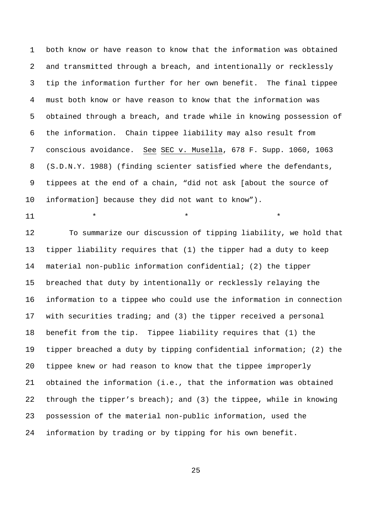1 both know or have reason to know that the information was obtained 2 and transmitted through a breach, and intentionally or recklessly 3 tip the information further for her own benefit. The final tippee 4 must both know or have reason to know that the information was 5 obtained through a breach, and trade while in knowing possession of 6 the information. Chain tippee liability may also result from 7 conscious avoidance. See SEC v. Musella, 678 F. Supp. 1060, 1063 8 (S.D.N.Y. 1988) (finding scienter satisfied where the defendants, 9 tippees at the end of a chain, "did not ask [about the source of 10 information] because they did not want to know").

 $11$  \* \* \* \* \*

12 To summarize our discussion of tipping liability, we hold that 13 tipper liability requires that (1) the tipper had a duty to keep 14 material non-public information confidential; (2) the tipper

15 breached that duty by intentionally or recklessly relaying the 16 information to a tippee who could use the information in connection 17 with securities trading; and (3) the tipper received a personal 18 benefit from the tip. Tippee liability requires that (1) the 19 tipper breached a duty by tipping confidential information; (2) the 20 tippee knew or had reason to know that the tippee improperly 21 obtained the information (i.e., that the information was obtained 22 through the tipper's breach); and (3) the tippee, while in knowing 23 possession of the material non-public information, used the 24 information by trading or by tipping for his own benefit.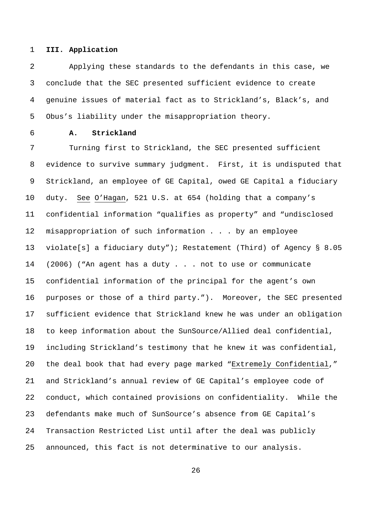### 1 **III. Application**

2 Applying these standards to the defendants in this case, we 3 conclude that the SEC presented sufficient evidence to create 4 genuine issues of material fact as to Strickland's, Black's, and 5 Obus's liability under the misappropriation theory.

# 6 **A. Strickland**

7 Turning first to Strickland, the SEC presented sufficient 8 evidence to survive summary judgment. First, it is undisputed that 9 Strickland, an employee of GE Capital, owed GE Capital a fiduciary 10 duty. See O'Hagan, 521 U.S. at 654 (holding that a company's 11 confidential information "qualifies as property" and "undisclosed 12 misappropriation of such information . . . by an employee 13 violate[s] a fiduciary duty"); Restatement (Third) of Agency § 8.05 14 (2006) ("An agent has a duty . . . not to use or communicate 15 confidential information of the principal for the agent's own 16 purposes or those of a third party."). Moreover, the SEC presented 17 sufficient evidence that Strickland knew he was under an obligation 18 to keep information about the SunSource/Allied deal confidential, 19 including Strickland's testimony that he knew it was confidential, 20 the deal book that had every page marked "Extremely Confidential," 21 and Strickland's annual review of GE Capital's employee code of 22 conduct, which contained provisions on confidentiality. While the 23 defendants make much of SunSource's absence from GE Capital's 24 Transaction Restricted List until after the deal was publicly 25 announced, this fact is not determinative to our analysis.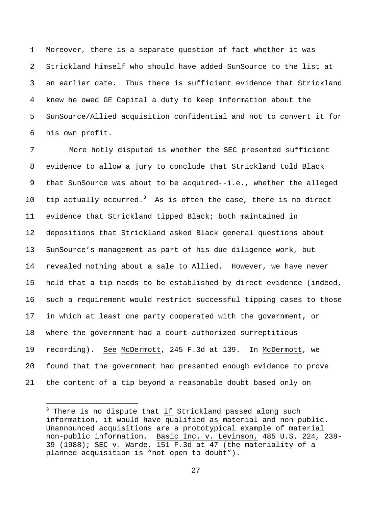1 Moreover, there is a separate question of fact whether it was 2 Strickland himself who should have added SunSource to the list at 3 an earlier date. Thus there is sufficient evidence that Strickland 4 knew he owed GE Capital a duty to keep information about the 5 SunSource/Allied acquisition confidential and not to convert it for 6 his own profit.

7 More hotly disputed is whether the SEC presented sufficient 8 evidence to allow a jury to conclude that Strickland told Black 9 that SunSource was about to be acquired--i.e., whether the alleged 10 tip actually occurred.<sup>3</sup> As is often the case, there is no direct 11 evidence that Strickland tipped Black; both maintained in 12 depositions that Strickland asked Black general questions about 13 SunSource's management as part of his due diligence work, but 14 revealed nothing about a sale to Allied. However, we have never 15 held that a tip needs to be established by direct evidence (indeed, 16 such a requirement would restrict successful tipping cases to those 17 in which at least one party cooperated with the government, or 18 where the government had a court-authorized surreptitious 19 recording). See McDermott, 245 F.3d at 139. In McDermott, we 20 found that the government had presented enough evidence to prove 21 the content of a tip beyond a reasonable doubt based only on

i<br>I

 $^3$  There is no dispute that  $\underline{\text{if}}$  Strickland passed along such information, it would have qualified as material and non-public. Unannounced acquisitions are a prototypical example of material non-public information. Basic Inc. v. Levinson, 485 U.S. 224, 238- 39 (1988); SEC v. Warde, 151 F.3d at 47 (the materiality of a planned acquisition is "not open to doubt").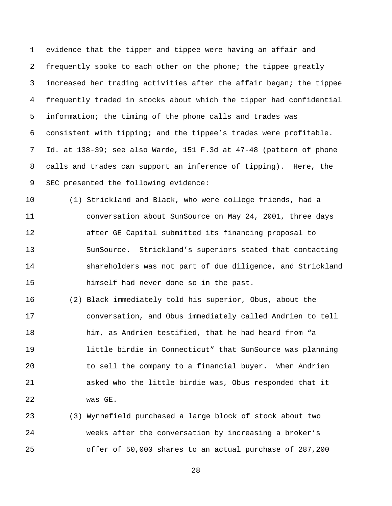1 evidence that the tipper and tippee were having an affair and 2 frequently spoke to each other on the phone; the tippee greatly 3 increased her trading activities after the affair began; the tippee 4 frequently traded in stocks about which the tipper had confidential 5 information; the timing of the phone calls and trades was 6 consistent with tipping; and the tippee's trades were profitable. 7 Id. at 138-39; see also Warde, 151 F.3d at 47-48 (pattern of phone 8 calls and trades can support an inference of tipping). Here, the 9 SEC presented the following evidence:

10 (1) Strickland and Black, who were college friends, had a 11 conversation about SunSource on May 24, 2001, three days 12 after GE Capital submitted its financing proposal to 13 SunSource. Strickland's superiors stated that contacting 14 shareholders was not part of due diligence, and Strickland 15 himself had never done so in the past.

16 (2) Black immediately told his superior, Obus, about the 17 conversation, and Obus immediately called Andrien to tell 18 him, as Andrien testified, that he had heard from "a 19 little birdie in Connecticut" that SunSource was planning 20 to sell the company to a financial buyer. When Andrien 21 asked who the little birdie was, Obus responded that it 22 was GE.

23 (3) Wynnefield purchased a large block of stock about two 24 weeks after the conversation by increasing a broker's 25 offer of 50,000 shares to an actual purchase of 287,200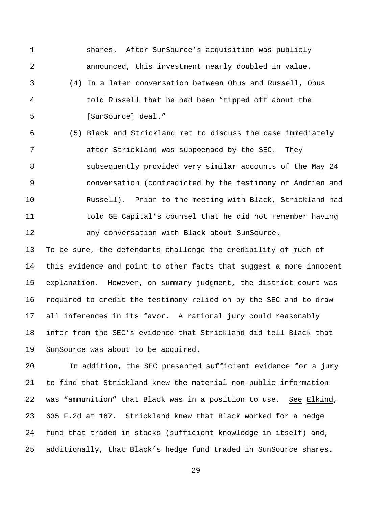1 shares. After SunSource's acquisition was publicly 2 announced, this investment nearly doubled in value. 3 (4) In a later conversation between Obus and Russell, Obus 4 told Russell that he had been "tipped off about the 5 [SunSource] deal."

6 (5) Black and Strickland met to discuss the case immediately 7 after Strickland was subpoenaed by the SEC. They 8 subsequently provided very similar accounts of the May 24 9 conversation (contradicted by the testimony of Andrien and 10 Russell). Prior to the meeting with Black, Strickland had 11 told GE Capital's counsel that he did not remember having 12 any conversation with Black about SunSource.

13 To be sure, the defendants challenge the credibility of much of 14 this evidence and point to other facts that suggest a more innocent 15 explanation. However, on summary judgment, the district court was 16 required to credit the testimony relied on by the SEC and to draw 17 all inferences in its favor. A rational jury could reasonably 18 infer from the SEC's evidence that Strickland did tell Black that 19 SunSource was about to be acquired.

20 In addition, the SEC presented sufficient evidence for a jury 21 to find that Strickland knew the material non-public information 22 was "ammunition" that Black was in a position to use. See Elkind, 23 635 F.2d at 167. Strickland knew that Black worked for a hedge 24 fund that traded in stocks (sufficient knowledge in itself) and, 25 additionally, that Black's hedge fund traded in SunSource shares.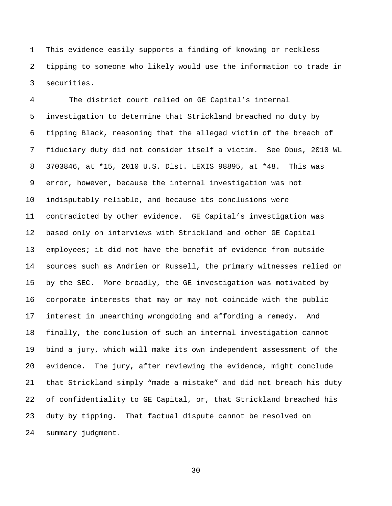1 This evidence easily supports a finding of knowing or reckless 2 tipping to someone who likely would use the information to trade in 3 securities.

4 The district court relied on GE Capital's internal 5 investigation to determine that Strickland breached no duty by 6 tipping Black, reasoning that the alleged victim of the breach of 7 fiduciary duty did not consider itself a victim. See Obus, 2010 WL 8 3703846, at \*15, 2010 U.S. Dist. LEXIS 98895, at \*48. This was 9 error, however, because the internal investigation was not 10 indisputably reliable, and because its conclusions were 11 contradicted by other evidence. GE Capital's investigation was 12 based only on interviews with Strickland and other GE Capital 13 employees; it did not have the benefit of evidence from outside 14 sources such as Andrien or Russell, the primary witnesses relied on 15 by the SEC. More broadly, the GE investigation was motivated by 16 corporate interests that may or may not coincide with the public 17 interest in unearthing wrongdoing and affording a remedy. And 18 finally, the conclusion of such an internal investigation cannot 19 bind a jury, which will make its own independent assessment of the 20 evidence. The jury, after reviewing the evidence, might conclude 21 that Strickland simply "made a mistake" and did not breach his duty 22 of confidentiality to GE Capital, or, that Strickland breached his 23 duty by tipping. That factual dispute cannot be resolved on 24 summary judgment.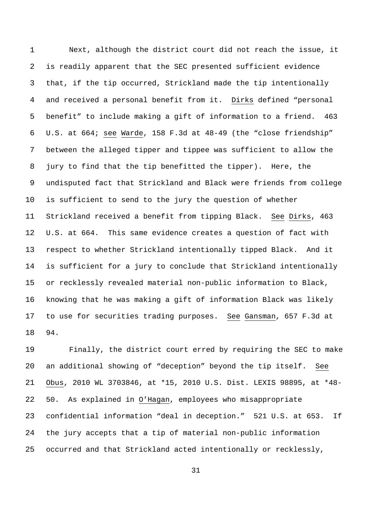1 Next, although the district court did not reach the issue, it 2 is readily apparent that the SEC presented sufficient evidence 3 that, if the tip occurred, Strickland made the tip intentionally 4 and received a personal benefit from it. Dirks defined "personal 5 benefit" to include making a gift of information to a friend. 463 6 U.S. at 664; see Warde, 158 F.3d at 48-49 (the "close friendship" 7 between the alleged tipper and tippee was sufficient to allow the 8 jury to find that the tip benefitted the tipper). Here, the 9 undisputed fact that Strickland and Black were friends from college 10 is sufficient to send to the jury the question of whether 11 Strickland received a benefit from tipping Black. See Dirks, 463 12 U.S. at 664. This same evidence creates a question of fact with 13 respect to whether Strickland intentionally tipped Black. And it 14 is sufficient for a jury to conclude that Strickland intentionally 15 or recklessly revealed material non-public information to Black, 16 knowing that he was making a gift of information Black was likely 17 to use for securities trading purposes. See Gansman, 657 F.3d at 18 94.

19 Finally, the district court erred by requiring the SEC to make 20 an additional showing of "deception" beyond the tip itself. See 21 Obus, 2010 WL 3703846, at \*15, 2010 U.S. Dist. LEXIS 98895, at \*48- 22 50. As explained in O'Hagan, employees who misappropriate 23 confidential information "deal in deception." 521 U.S. at 653. If 24 the jury accepts that a tip of material non-public information 25 occurred and that Strickland acted intentionally or recklessly,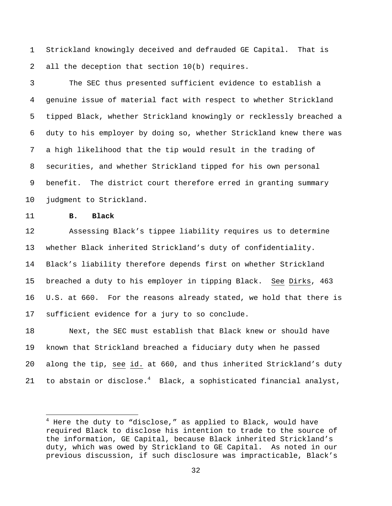1 Strickland knowingly deceived and defrauded GE Capital. That is 2 all the deception that section 10(b) requires.

3 The SEC thus presented sufficient evidence to establish a 4 genuine issue of material fact with respect to whether Strickland 5 tipped Black, whether Strickland knowingly or recklessly breached a 6 duty to his employer by doing so, whether Strickland knew there was 7 a high likelihood that the tip would result in the trading of 8 securities, and whether Strickland tipped for his own personal 9 benefit. The district court therefore erred in granting summary 10 judgment to Strickland.

11 **B. Black** 

i<br>L

12 Assessing Black's tippee liability requires us to determine 13 whether Black inherited Strickland's duty of confidentiality. 14 Black's liability therefore depends first on whether Strickland 15 breached a duty to his employer in tipping Black. See Dirks, 463 16 U.S. at 660. For the reasons already stated, we hold that there is 17 sufficient evidence for a jury to so conclude.

18 Next, the SEC must establish that Black knew or should have 19 known that Strickland breached a fiduciary duty when he passed 20 along the tip, see id. at 660, and thus inherited Strickland's duty 21 to abstain or disclose. $4$  Black, a sophisticated financial analyst,

 $^4$  Here the duty to "disclose," as applied to Black, would have required Black to disclose his intention to trade to the source of the information, GE Capital, because Black inherited Strickland's duty, which was owed by Strickland to GE Capital. As noted in our previous discussion, if such disclosure was impracticable, Black's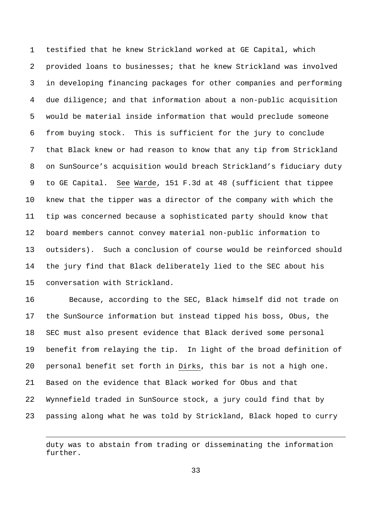1 testified that he knew Strickland worked at GE Capital, which 2 provided loans to businesses; that he knew Strickland was involved 3 in developing financing packages for other companies and performing 4 due diligence; and that information about a non-public acquisition 5 would be material inside information that would preclude someone 6 from buying stock. This is sufficient for the jury to conclude 7 that Black knew or had reason to know that any tip from Strickland 8 on SunSource's acquisition would breach Strickland's fiduciary duty 9 to GE Capital. See Warde, 151 F.3d at 48 (sufficient that tippee 10 knew that the tipper was a director of the company with which the 11 tip was concerned because a sophisticated party should know that 12 board members cannot convey material non-public information to 13 outsiders). Such a conclusion of course would be reinforced should 14 the jury find that Black deliberately lied to the SEC about his 15 conversation with Strickland.

16 Because, according to the SEC, Black himself did not trade on 17 the SunSource information but instead tipped his boss, Obus, the 18 SEC must also present evidence that Black derived some personal 19 benefit from relaying the tip. In light of the broad definition of 20 personal benefit set forth in Dirks, this bar is not a high one. 21 Based on the evidence that Black worked for Obus and that 22 Wynnefield traded in SunSource stock, a jury could find that by 23 passing along what he was told by Strickland, Black hoped to curry

i<br>I

duty was to abstain from trading or disseminating the information further.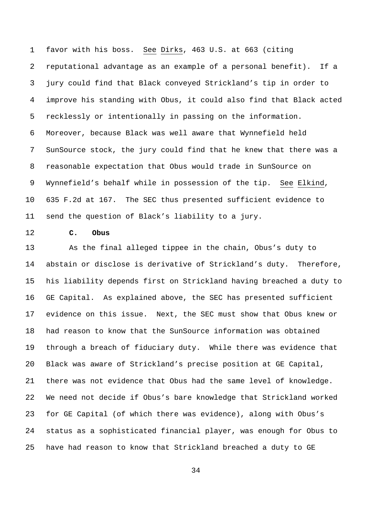1 favor with his boss. See Dirks, 463 U.S. at 663 (citing 2 reputational advantage as an example of a personal benefit). If a 3 jury could find that Black conveyed Strickland's tip in order to 4 improve his standing with Obus, it could also find that Black acted 5 recklessly or intentionally in passing on the information. 6 Moreover, because Black was well aware that Wynnefield held 7 SunSource stock, the jury could find that he knew that there was a 8 reasonable expectation that Obus would trade in SunSource on 9 Wynnefield's behalf while in possession of the tip. See Elkind, 10 635 F.2d at 167. The SEC thus presented sufficient evidence to 11 send the question of Black's liability to a jury.

12 **C. Obus** 

13 As the final alleged tippee in the chain, Obus's duty to 14 abstain or disclose is derivative of Strickland's duty. Therefore, 15 his liability depends first on Strickland having breached a duty to 16 GE Capital. As explained above, the SEC has presented sufficient 17 evidence on this issue. Next, the SEC must show that Obus knew or 18 had reason to know that the SunSource information was obtained 19 through a breach of fiduciary duty. While there was evidence that 20 Black was aware of Strickland's precise position at GE Capital, 21 there was not evidence that Obus had the same level of knowledge. 22 We need not decide if Obus's bare knowledge that Strickland worked 23 for GE Capital (of which there was evidence), along with Obus's 24 status as a sophisticated financial player, was enough for Obus to 25 have had reason to know that Strickland breached a duty to GE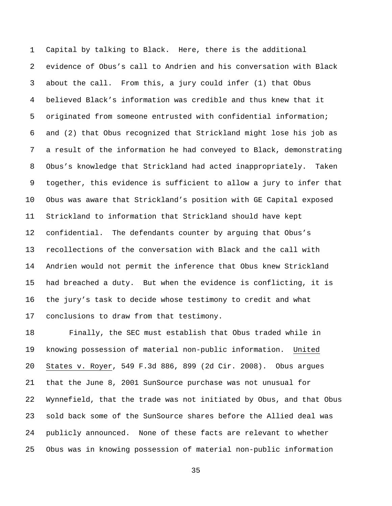1 Capital by talking to Black. Here, there is the additional 2 evidence of Obus's call to Andrien and his conversation with Black 3 about the call. From this, a jury could infer (1) that Obus 4 believed Black's information was credible and thus knew that it 5 originated from someone entrusted with confidential information; 6 and (2) that Obus recognized that Strickland might lose his job as 7 a result of the information he had conveyed to Black, demonstrating 8 Obus's knowledge that Strickland had acted inappropriately. Taken 9 together, this evidence is sufficient to allow a jury to infer that 10 Obus was aware that Strickland's position with GE Capital exposed 11 Strickland to information that Strickland should have kept 12 confidential. The defendants counter by arguing that Obus's 13 recollections of the conversation with Black and the call with 14 Andrien would not permit the inference that Obus knew Strickland 15 had breached a duty. But when the evidence is conflicting, it is 16 the jury's task to decide whose testimony to credit and what 17 conclusions to draw from that testimony.

18 Finally, the SEC must establish that Obus traded while in 19 knowing possession of material non-public information. United 20 States v. Royer, 549 F.3d 886, 899 (2d Cir. 2008). Obus argues 21 that the June 8, 2001 SunSource purchase was not unusual for 22 Wynnefield, that the trade was not initiated by Obus, and that Obus 23 sold back some of the SunSource shares before the Allied deal was 24 publicly announced. None of these facts are relevant to whether 25 Obus was in knowing possession of material non-public information